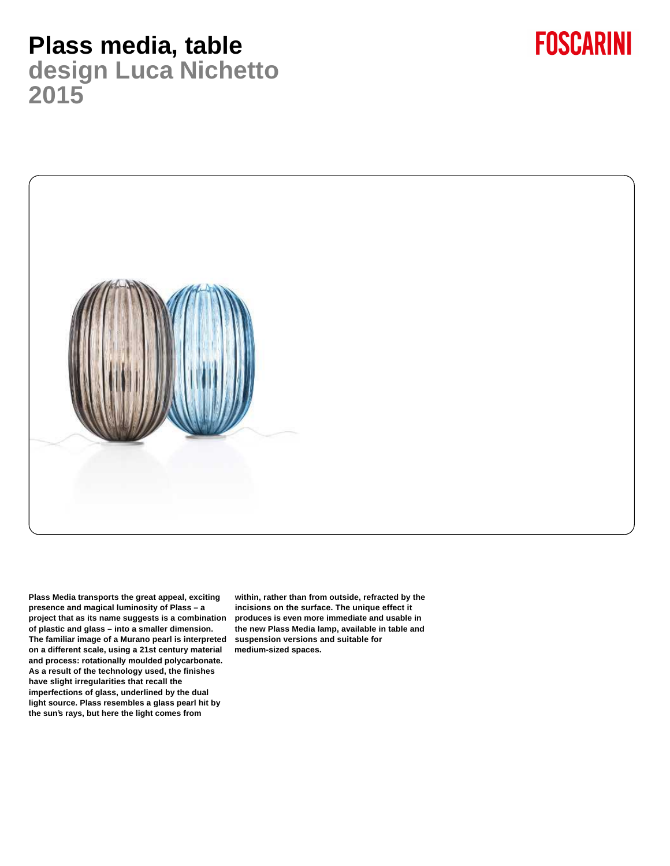### **Plass media, table design Luca Nichetto 2015**



**FOSCARINI** 

**Plass Media transports the great appeal, exciting presence and magical luminosity of Plass – a project that as its name suggests is a combination of plastic and glass – into a smaller dimension. The familiar image of a Murano pearl is interpreted suspension versions and suitable for on a different scale, using a 21st century material and process: rotationally moulded polycarbonate. As a result of the technology used, the finishes have slight irregularities that recall the imperfections of glass, underlined by the dual light source. Plass resembles a glass pearl hit by the sun's rays, but here the light comes from**

**within, rather than from outside, refracted by the incisions on the surface. The unique effect it produces is even more immediate and usable in the new Plass Media lamp, available in table and medium-sized spaces.**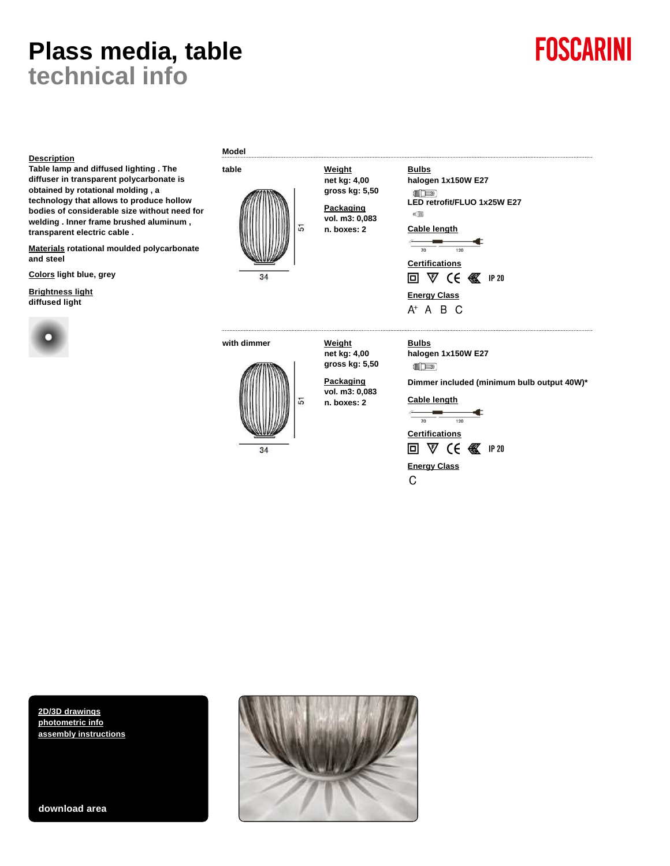### **Plass media, table technical info**

# **FOSCARINI**

#### **Description**

**Table lamp and diffused lighting . The diffuser in transparent polycarbonate is obtained by rotational molding , a technology that allows to produce hollow bodies of considerable size without need for welding . Inner frame brushed aluminum , transparent electric cable .**

**Materials rotational moulded polycarbonate and steel**

**Colors light blue, grey**

**Brightness light diffused light**



**Model**



**with dimmer Weight**



**net kg: 4,00 gross kg: 5,50 Packaging**

**net kg: 4,00 gross kg: 5,50 Packaging vol. m3: 0,083 n. boxes: 2**

**vol. m3: 0,083 n. boxes: 2**

**halogen 1x150W E27**  $\begin{picture}(20,20) \put(0,0){\line(1,0){10}} \put(15,0){\line(1,0){10}} \put(15,0){\line(1,0){10}} \put(15,0){\line(1,0){10}} \put(15,0){\line(1,0){10}} \put(15,0){\line(1,0){10}} \put(15,0){\line(1,0){10}} \put(15,0){\line(1,0){10}} \put(15,0){\line(1,0){10}} \put(15,0){\line(1,0){10}} \put(15,0){\line(1,0){10}} \put(15,0){\line(1$ 

**Dimmer included (minimum bulb output 40W)\***

**Cable length**

**Bulbs**

 $\begin{picture}(20,20) \put(0,0){\line(1,0){10}} \put(15,0){\line(1,0){10}} \put(15,0){\line(1,0){10}} \put(15,0){\line(1,0){10}} \put(15,0){\line(1,0){10}} \put(15,0){\line(1,0){10}} \put(15,0){\line(1,0){10}} \put(15,0){\line(1,0){10}} \put(15,0){\line(1,0){10}} \put(15,0){\line(1,0){10}} \put(15,0){\line(1,0){10}} \put(15,0){\line(1$ **«** 

**halogen 1x150W E27**

Cable length<br>
<u>Figure 1</u>

**Certifications**

回 V (6 图 IP 20

**Energy Class**

 $A^+$  A B C

**Bulbs**

**LED retrofit/FLUO 1x25W E27**

¢  $\frac{1}{120}$ 

 $\frac{1}{70}$ ≰ **Certifications** 回 ▽ CE 图 IP 20

**Energy Class**  $\mathsf{C}$ 

**[2D/3D drawings](http://qr.foscarini.com/P58321EN) [photometric info](http://qr.foscarini.com/P58322EN) [assembly instructions](http://qr.foscarini.com/P58323EN)**

**download area**